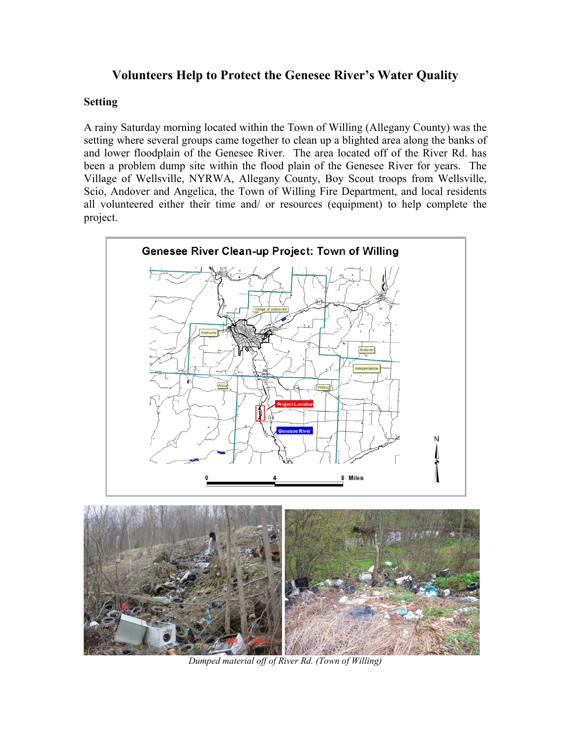## **Volunteers Help to Protect the Genesee River's Water Quality**

### **Setting**

A rainy Saturday morning located within the Town of Willing (Allegany County) was the setting where several groups came together to clean up a blighted area along the banks of and lower floodplain of the Genesee River. The area located off of the River Rd. has been a problem dump site within the flood plain of the Genesee River for years. The Village of Wellsville, NYRWA, Allegany County, Boy Scout troops from Wellsville, Scio, Andover and Angelica, the Town of Willing Fire Department, and local residents all volunteered either their time and/ or resources (equipment) to help complete the project.





*Dumped material off of River Rd. (Town of Willing)*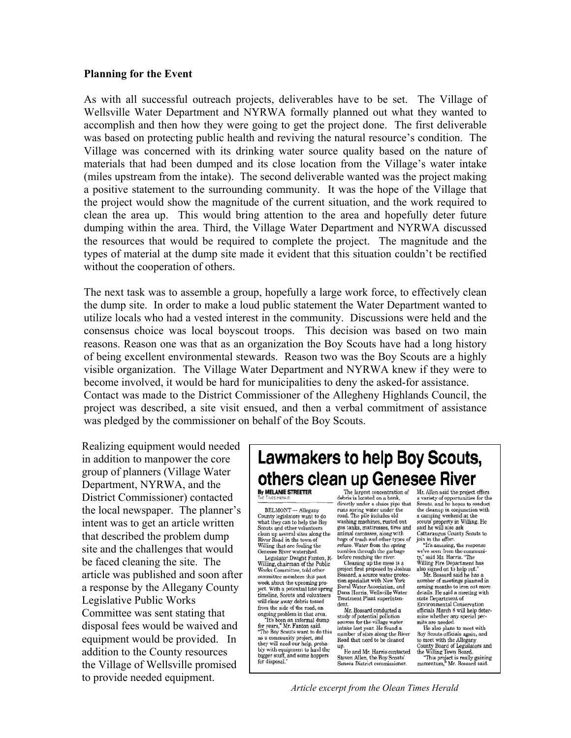#### **Planning for the Event**

As with all successful outreach projects, deliverables have to be set. The Village of Wellsville Water Department and NYRWA formally planned out what they wanted to accomplish and then how they were going to get the project done. The first deliverable was based on protecting public health and reviving the natural resource's condition. The Village was concerned with its drinking water source quality based on the nature of materials that had been dumped and its close location from the Village's water intake (miles upstream from the intake). The second deliverable wanted was the project making a positive statement to the surrounding community. It was the hope of the Village that the project would show the magnitude of the current situation, and the work required to clean the area up. This would bring attention to the area and hopefully deter future dumping within the area. Third, the Village Water Department and NYRWA discussed the resources that would be required to complete the project. The magnitude and the types of material at the dump site made it evident that this situation couldn't be rectified without the cooperation of others.

The next task was to assemble a group, hopefully a large work force, to effectively clean the dump site. In order to make a loud public statement the Water Department wanted to utilize locals who had a vested interest in the community. Discussions were held and the consensus choice was local boyscout troops. This decision was based on two main reasons. Reason one was that as an organization the Boy Scouts have had a long history of being excellent environmental stewards. Reason two was the Boy Scouts are a highly visible organization. The Village Water Department and NYRWA knew if they were to become involved, it would be hard for municipalities to deny the asked-for assistance. Contact was made to the District Commissioner of the Allegheny Highlands Council, the project was described, a site visit ensued, and then a verbal commitment of assistance was pledged by the commissioner on behalf of the Boy Scouts.

Realizing equipment would needed in addition to manpower the core group of planners (Village Water Department, NYRWA, and the District Commissioner) contacted the local newspaper. The planner's intent was to get an article written that described the problem dump site and the challenges that would be faced cleaning the site. The article was published and soon after a response by the Allegany County Legislative Public Works Committee was sent stating that disposal fees would be waived and equipment would be provided. In addition to the County resources the Village of Wellsville promised to provide needed equipment.

# Lawmakers to help Boy Scouts, others clean up Genesee River

By MELANIE STREETER TIMES HERALD

BELMONT -- Allegany County legislators want to do<br>
what they can to help the Boy<br>
Scouts and other volunteers<br>
clean up several sites along the<br>
River Road in the town of Willing that are fouling the Genesee River watershed.

Legislator Dwight Fanton, R-Willing, chairman of the Public Works Committee, told other committee members this past week about the upcoming project. With a potential late spring timeline, Scouts and volunteers will clear away debris tossed from the side of the road, an

ongoing problem in that area.<br>"It's been an informal dump<br>for years," Mr. Fanton said. The Boy Scouts want to do this<br>as a community project, and they will need our help, proba-<br>bly with equipment to haul the bigger stuff, and some hoppers<br>for disposal."

debris is located on a bank, directly under a sluice pipe that<br>runs spring water under the rand. The pile includes old<br>washing machines, rusted out<br>gas tanks, mattresses, tires and animal carcasses, along with<br>bags of trash and other types of refuse. Water from the spring<br>tumbles through the garbage before reaching the river.

Cleaning up the mess is a<br>project first proposed by Joshua project inst proposed by Joshua<br>Bossard, a source water protec-<br>tion specialist with New York<br>Rural Water Association, and<br>Dana Harris, Wellsville Water<br>Treatment Plant superintendent

Mr. Bossard conducted a study of potential pollution<br>sources for the village water,<br>intake last year. He found a number of sites along the River Road that need to be cleaned

up.<br>He and Mr. Harris contacted<br>Steven Allen, the Boy Scouts' Seneca District commissioner.

The largest concentration of Mr. Allen said the project offers a variety of opportunities for the<br>a variety of opportunities for the<br>Scouts, and he hopes to conduct<br>the cleanup in conjunction with a camping weekend at the<br>scouts' property in Willing. He<br>said he will also ask Cattaraugus County Scouts to<br>join in the effort.

"It's amazing, the response "It's amazing, the response<br>we've seen from the communi-<br>ty." said Mr. Harris. "The<br>Willing Fire Department has<br>also signed on to help out."<br>Mr. Bossard said he has a

number of meetings planned in coming months to iron out more details. He said a meeting with state Department of Environmental Conservation officials March 8 will help deter-

mine whether any special permits are needed. He also plans to meet with Boy Scouts officials again, and

to meet with the Allegany County Board of Legislators and<br>the Willing Town Board.<br>"This project is really gaining<br>momentum," Mr. Bossard said.

*Article excerpt from the Olean Times Herald*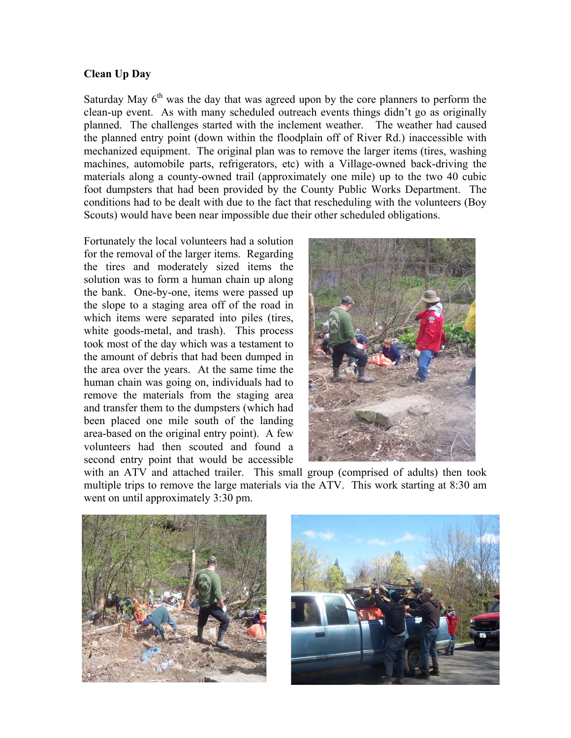### **Clean Up Day**

Saturday May  $6<sup>th</sup>$  was the day that was agreed upon by the core planners to perform the clean-up event. As with many scheduled outreach events things didn't go as originally planned. The challenges started with the inclement weather. The weather had caused the planned entry point (down within the floodplain off of River Rd.) inaccessible with mechanized equipment. The original plan was to remove the larger items (tires, washing machines, automobile parts, refrigerators, etc) with a Village-owned back-driving the materials along a county-owned trail (approximately one mile) up to the two 40 cubic foot dumpsters that had been provided by the County Public Works Department. The conditions had to be dealt with due to the fact that rescheduling with the volunteers (Boy Scouts) would have been near impossible due their other scheduled obligations.

Fortunately the local volunteers had a solution for the removal of the larger items. Regarding the tires and moderately sized items the solution was to form a human chain up along the bank. One-by-one, items were passed up the slope to a staging area off of the road in which items were separated into piles (tires, white goods-metal, and trash). This process took most of the day which was a testament to the amount of debris that had been dumped in the area over the years. At the same time the human chain was going on, individuals had to remove the materials from the staging area and transfer them to the dumpsters (which had been placed one mile south of the landing area-based on the original entry point). A few volunteers had then scouted and found a second entry point that would be accessible



with an ATV and attached trailer. This small group (comprised of adults) then took multiple trips to remove the large materials via the ATV. This work starting at 8:30 am went on until approximately 3:30 pm.